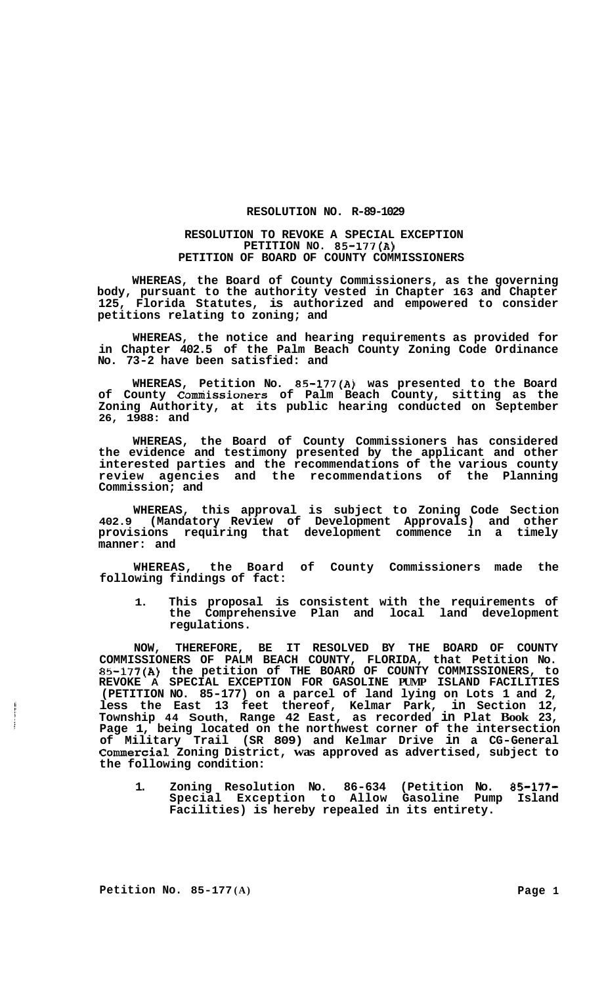## **RESOLUTION NO. R-89-1029**

## **RESOLUTION TO REVOKE A SPECIAL EXCEPTION PETITION NO. 85-177(A) PETITION OF BOARD OF COUNTY COMMISSIONERS**

**WHEREAS, the Board of County Commissioners, as the governing body, pursuant to the authority vested in Chapter 163 and Chapter 125, Florida Statutes, is authorized and empowered to consider petitions relating to zoning; and** 

**WHEREAS, the notice and hearing requirements as provided for in Chapter 402.5 of the Palm Beach County Zoning Code Ordinance No. 73-2 have been satisfied: and** 

**WHEREAS, Petition No. 85-177(A) was presented to the Board of County Comniissioners of Palm Beach County, sitting as the Zoning Authority, at its public hearing conducted on September 26, 1988: and** 

**WHEREAS, the Board of County Commissioners has considered the evidence and testimony presented by the applicant and other interested parties and the recommendations of the various county review agencies and the recommendations of the Planning Commission; and** 

**WHEREAS, this approval is subject to Zoning Code Section 402.9 (Mandatory Review of Development Approvals) and other provisions requiring that development commence in a timely manner: and** 

**WHEREAS, the Board of County Commissioners made the following findings of fact:** 

**1. This proposal is consistent with the requirements of the Comprehensive Plan and local land development regulations.** 

**NOW, THEREFORE, BE IT RESOLVED BY THE BOARD OF COUNTY COMMISSIONERS OF PALM BEACH COUNTY, FLORIDA, that Petition No. 85-177(A) the petition of THE BOARD OF COUNTY COMMISSIONERS, to REVOKE A SPECIAL EXCEPTION FOR GASOLINE PUMP ISLAND FACILITIES (PETITION NO. 85-177) on a parcel of land lying on Lots 1 and 2, less the East 13 feet thereof, Kelmar Park, in Section 12, Township 44 South, Range 42 East, as recorded in Plat Book 23, Page 1, being located on the northwest corner of the intersection of Military Trail (SR 809) and Kelmar Drive in a CG-General Commercial Zoning District, was approved as advertised, subject to the following condition:** 

**1. Zoning Resolution No. 86-634 (Petition No. 85-177- Special Exception to Allow Gasoline Pump Island Facilities) is hereby repealed in its entirety.**